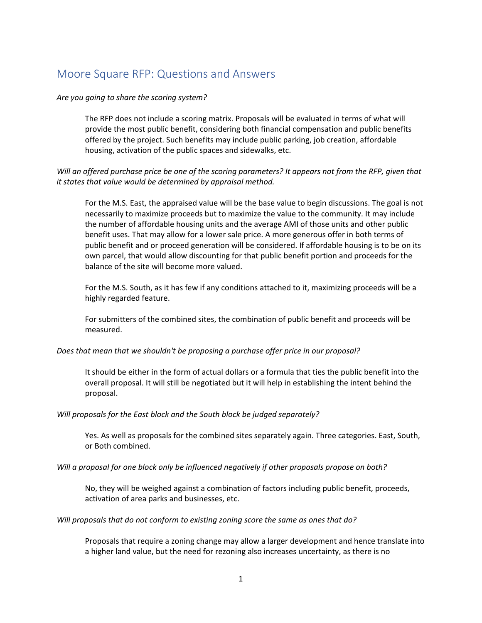# Moore Square RFP: Questions and Answers

### *Are you going to share the scoring system?*

The RFP does not include a scoring matrix. Proposals will be evaluated in terms of what will provide the most public benefit, considering both financial compensation and public benefits offered by the project. Such benefits may include public parking, job creation, affordable housing, activation of the public spaces and sidewalks, etc.

## *Will an offered purchase price be one of the scoring parameters? It appears not from the RFP, given that it states that value would be determined by appraisal method.*

For the M.S. East, the appraised value will be the base value to begin discussions. The goal is not necessarily to maximize proceeds but to maximize the value to the community. It may include the number of affordable housing units and the average AMI of those units and other public benefit uses. That may allow for a lower sale price. A more generous offer in both terms of public benefit and or proceed generation will be considered. If affordable housing is to be on its own parcel, that would allow discounting for that public benefit portion and proceeds for the balance of the site will become more valued.

For the M.S. South, as it has few if any conditions attached to it, maximizing proceeds will be a highly regarded feature.

For submitters of the combined sites, the combination of public benefit and proceeds will be measured.

#### *Does that mean that we shouldn't be proposing a purchase offer price in our proposal?*

It should be either in the form of actual dollars or a formula that ties the public benefit into the overall proposal. It will still be negotiated but it will help in establishing the intent behind the proposal.

#### *Will proposals for the East block and the South block be judged separately?*

Yes. As well as proposals for the combined sites separately again. Three categories. East, South, or Both combined.

#### *Will a proposal for one block only be influenced negatively if other proposals propose on both?*

No, they will be weighed against a combination of factors including public benefit, proceeds, activation of area parks and businesses, etc.

#### *Will proposals that do not conform to existing zoning score the same as ones that do?*

Proposals that require a zoning change may allow a larger development and hence translate into a higher land value, but the need for rezoning also increases uncertainty, as there is no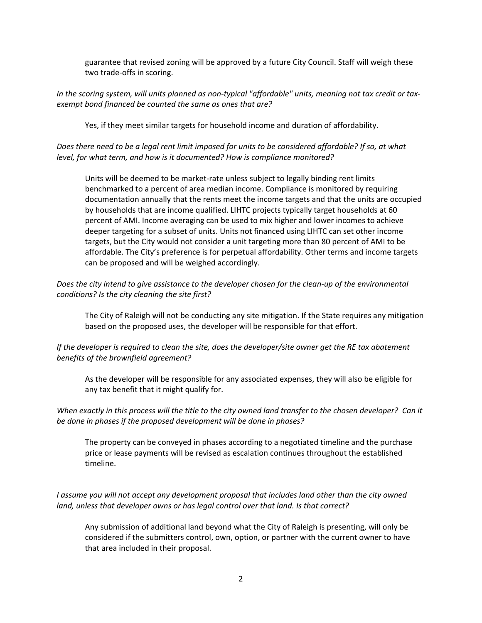guarantee that revised zoning will be approved by a future City Council. Staff will weigh these two trade-offs in scoring.

*In the scoring system, will units planned as non-typical "affordable" units, meaning not tax credit or taxexempt bond financed be counted the same as ones that are?* 

Yes, if they meet similar targets for household income and duration of affordability.

*Does there need to be a legal rent limit imposed for units to be considered affordable? If so, at what level, for what term, and how is it documented? How is compliance monitored?*

Units will be deemed to be market-rate unless subject to legally binding rent limits benchmarked to a percent of area median income. Compliance is monitored by requiring documentation annually that the rents meet the income targets and that the units are occupied by households that are income qualified. LIHTC projects typically target households at 60 percent of AMI. Income averaging can be used to mix higher and lower incomes to achieve deeper targeting for a subset of units. Units not financed using LIHTC can set other income targets, but the City would not consider a unit targeting more than 80 percent of AMI to be affordable. The City's preference is for perpetual affordability. Other terms and income targets can be proposed and will be weighed accordingly.

*Does the city intend to give assistance to the developer chosen for the clean-up of the environmental conditions? Is the city cleaning the site first?*

The City of Raleigh will not be conducting any site mitigation. If the State requires any mitigation based on the proposed uses, the developer will be responsible for that effort.

## *If the developer is required to clean the site, does the developer/site owner get the RE tax abatement benefits of the brownfield agreement?*

As the developer will be responsible for any associated expenses, they will also be eligible for any tax benefit that it might qualify for.

*When exactly in this process will the title to the city owned land transfer to the chosen developer? Can it be done in phases if the proposed development will be done in phases?*

The property can be conveyed in phases according to a negotiated timeline and the purchase price or lease payments will be revised as escalation continues throughout the established timeline.

*I assume you will not accept any development proposal that includes land other than the city owned land, unless that developer owns or has legal control over that land. Is that correct?*

Any submission of additional land beyond what the City of Raleigh is presenting, will only be considered if the submitters control, own, option, or partner with the current owner to have that area included in their proposal.